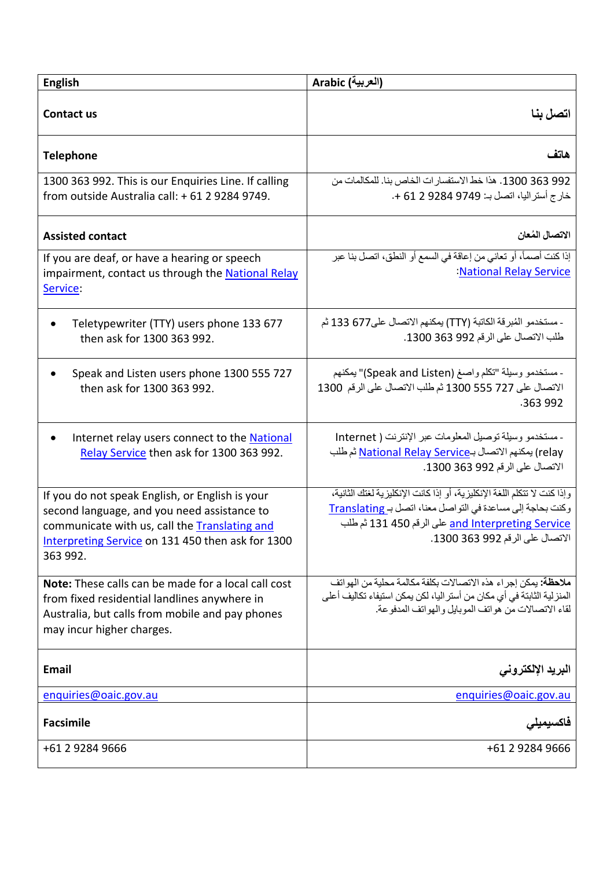| <b>English</b>                                                                                                                                                                                                   | (العربية) Arabic                                                                                                                                                                                                               |
|------------------------------------------------------------------------------------------------------------------------------------------------------------------------------------------------------------------|--------------------------------------------------------------------------------------------------------------------------------------------------------------------------------------------------------------------------------|
| Contact us                                                                                                                                                                                                       | اتصل بنا                                                                                                                                                                                                                       |
| <b>Telephone</b>                                                                                                                                                                                                 | هاتف                                                                                                                                                                                                                           |
| 1300 363 992. This is our Enquiries Line. If calling<br>from outside Australia call: +61 2 9284 9749.                                                                                                            | 992 363 1300. هذا خط الاستفسار ات الخاص بنا. للمكالمات من<br>خارج أستر اليا، اتصل بـ: 9749 9284 61 2 +.                                                                                                                        |
| <b>Assisted contact</b>                                                                                                                                                                                          | الاتصال المُعان                                                                                                                                                                                                                |
| If you are deaf, or have a hearing or speech<br>impairment, contact us through the National Relay<br>Service:                                                                                                    | إذا كنت أصماً، أو تعاني من إعاقة في السمع أو النطق، اتصل بنا عبر<br>:National Relay Service                                                                                                                                    |
| Teletypewriter (TTY) users phone 133 677<br>$\bullet$<br>then ask for 1300 363 992.                                                                                                                              | - مستخدمو الْمُبرِقة الكاتبة (TTY) بِمكنهم الاتصـال على677 133 ثم<br>طلب الاتصال على الرقم 992 363 1300.                                                                                                                       |
| Speak and Listen users phone 1300 555 727<br>then ask for 1300 363 992.                                                                                                                                          | - مستخدمو وسيلة "تكلَّم واصـغ (Speak and Listen)" يمكنهم<br>الاتصال على 727 555 1300 ثم طلب الاتصال على الرقم 1300<br>.363 992                                                                                                 |
| Internet relay users connect to the National<br>Relay Service then ask for 1300 363 992.                                                                                                                         | - مستخدمو وسيلة توصيل المعلومات عبر الإنترنت ( Internet<br>relay) يمكنهم الاتصال بـ <u>National Relay Service</u> ثم طلب<br>الاتصال على الرقم 992 363 1300.                                                                    |
| If you do not speak English, or English is your<br>second language, and you need assistance to<br>communicate with us, call the Translating and<br>Interpreting Service on 131 450 then ask for 1300<br>363 992. | وإذا كنت لا تتكلم اللغة الإنكليزية، أو إذا كانت الإنكليزية لغتك الثانية،<br>وكنت بحاجة إلى مساعدة في التواصل معنا، اتصل بـ Translating<br>and Interpreting Service على الرقم 130 131 ثم طلب<br>الاتصال على الرقم 992 363 1300. |
| Note: These calls can be made for a local call cost<br>from fixed residential landlines anywhere in<br>Australia, but calls from mobile and pay phones<br>may incur higher charges.                              | ملاحظة: يمكن إجراء هذه الاتصالات بكلفة مكالمة محلية من الهواتف<br>المنز لية الثابتة في أي مكان من أستر اليا، لكن يمكن استيفاء تكاليف أعلى<br>لقاء الاتصالات من هواتف الموبايل والهواتف المدفوعة.                               |
| <b>Email</b>                                                                                                                                                                                                     | البريد الإلكترونى                                                                                                                                                                                                              |
| enquiries@oaic.gov.au                                                                                                                                                                                            | enquiries@oaic.gov.au                                                                                                                                                                                                          |
| <b>Facsimile</b>                                                                                                                                                                                                 | فاكسبه                                                                                                                                                                                                                         |
| +61 2 9284 9666                                                                                                                                                                                                  | +61 2 9284 9666                                                                                                                                                                                                                |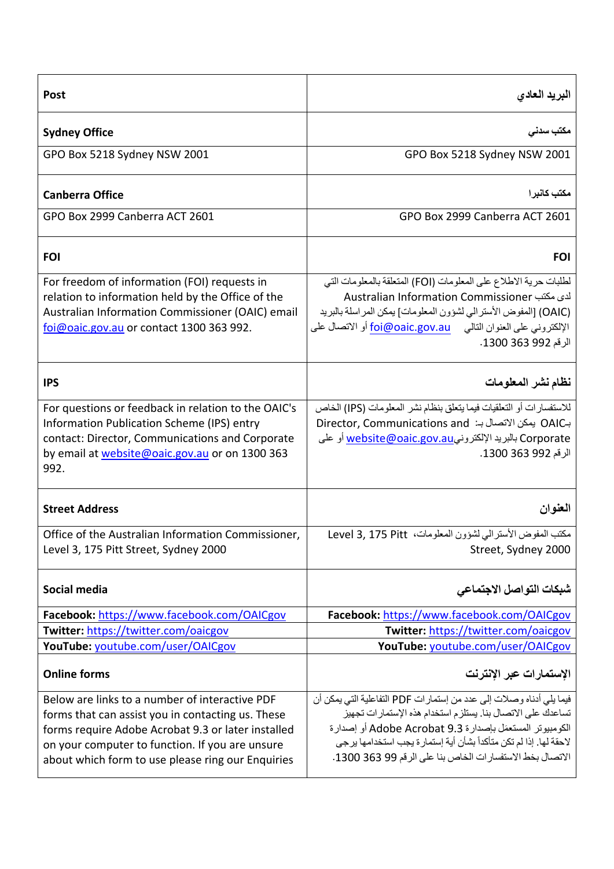| <b>Post</b>                                                                                                                                                                                                                                                       | البريد العادى                                                                                                                                                                                                                                                                                                                       |
|-------------------------------------------------------------------------------------------------------------------------------------------------------------------------------------------------------------------------------------------------------------------|-------------------------------------------------------------------------------------------------------------------------------------------------------------------------------------------------------------------------------------------------------------------------------------------------------------------------------------|
| <b>Sydney Office</b>                                                                                                                                                                                                                                              | مکتب سدنی                                                                                                                                                                                                                                                                                                                           |
| GPO Box 5218 Sydney NSW 2001                                                                                                                                                                                                                                      | GPO Box 5218 Sydney NSW 2001                                                                                                                                                                                                                                                                                                        |
| <b>Canberra Office</b>                                                                                                                                                                                                                                            | مكتب كانبرا                                                                                                                                                                                                                                                                                                                         |
| GPO Box 2999 Canberra ACT 2601                                                                                                                                                                                                                                    | GPO Box 2999 Canberra ACT 2601                                                                                                                                                                                                                                                                                                      |
| <b>FOI</b>                                                                                                                                                                                                                                                        | <b>FOI</b>                                                                                                                                                                                                                                                                                                                          |
| For freedom of information (FOI) requests in<br>relation to information held by the Office of the<br>Australian Information Commissioner (OAIC) email<br>foi@oaic.gov.au or contact 1300 363 992.                                                                 | لطلبات حرية الاطلاع على المعلومات (FOI) المتعلقة بالمعلومات التي<br>لدى مكتب Australian Information Commissioner<br>(OAIC) [المفوض الأستر الى لشؤون المعلومات] يمكن المر اسلة بالبريد<br>الإلكتروني على العنوان التالي      foi@oaic.gov.au أو الاتصال على<br>الرقم 992 363 1300.                                                   |
| <b>IPS</b>                                                                                                                                                                                                                                                        | نظام نشر المعلومات                                                                                                                                                                                                                                                                                                                  |
| For questions or feedback in relation to the OAIC's<br>Information Publication Scheme (IPS) entry<br>contact: Director, Communications and Corporate<br>by email at website@oaic.gov.au or on 1300 363<br>992.                                                    | للاستفسار ات أو التعلقيات فيما يتعلق بنظام نشر المعلومات (IPS) الخاص<br>بـOAIC بِمكن الاتصال بـ: Director, Communications and<br>Corporate بالبريد الإلكترونيwebsite@oaic.gov.au أو على<br>الرقم 992 363 1300.                                                                                                                      |
| <b>Street Address</b>                                                                                                                                                                                                                                             | العنوان                                                                                                                                                                                                                                                                                                                             |
| Office of the Australian Information Commissioner,<br>Level 3, 175 Pitt Street, Sydney 2000                                                                                                                                                                       | مكتب المفوض الأسترالي لشؤون المعلومات، Level 3, 175 Pitt<br>Street, Sydney 2000                                                                                                                                                                                                                                                     |
| Social media                                                                                                                                                                                                                                                      | شبكات التواصل الاجتماعي                                                                                                                                                                                                                                                                                                             |
| Facebook: https://www.facebook.com/OAICgov                                                                                                                                                                                                                        | Facebook: https://www.facebook.com/OAICgov                                                                                                                                                                                                                                                                                          |
| Twitter: https://twitter.com/oaicgov                                                                                                                                                                                                                              | Twitter: https://twitter.com/oaicgov                                                                                                                                                                                                                                                                                                |
| YouTube: youtube.com/user/OAICgov                                                                                                                                                                                                                                 | YouTube: youtube.com/user/OAICgov                                                                                                                                                                                                                                                                                                   |
| <b>Online forms</b>                                                                                                                                                                                                                                               | الإستمارات عبر الإنترنت                                                                                                                                                                                                                                                                                                             |
| Below are links to a number of interactive PDF<br>forms that can assist you in contacting us. These<br>forms require Adobe Acrobat 9.3 or later installed<br>on your computer to function. If you are unsure<br>about which form to use please ring our Enquiries | فيما يلي أدناه وصلات إلى عدد من إستمار ات PDF التفاعلية التي يمكن أن<br>تساعدك على الاتصال بنا. يستلزم استخدام هذه الإستمار ات تجهيز<br>الكومبيوتر المستعمَل بإصدارة Adobe Acrobat 9.3 أو إصدارة<br>لاحقة لها. إذا لم تكن متأكداً بشأن أية إستمار ة يجب استخدامها يرجى<br>الاتصال بخط الاستفسار ات الخاص بنا على الرقم 99 363 1300. |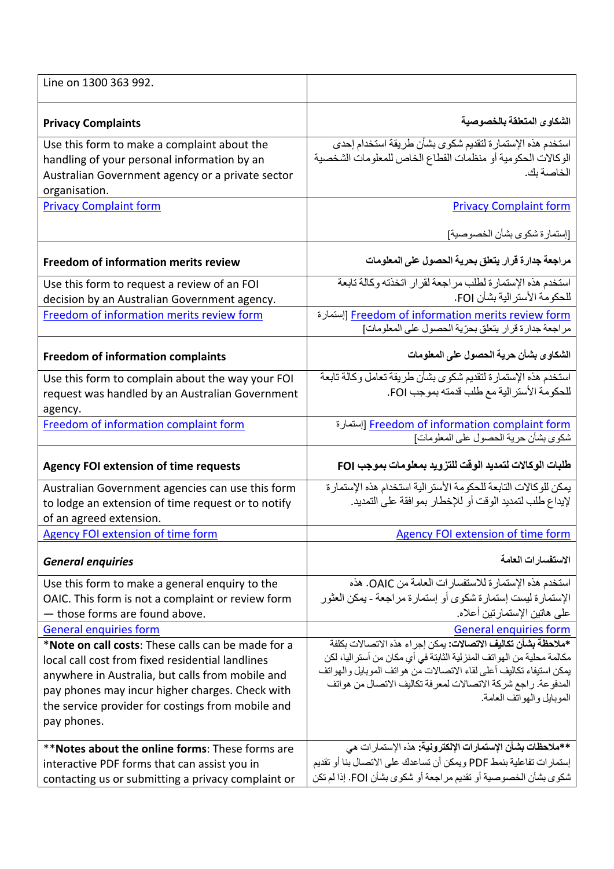| Line on 1300 363 992.                                                                                                                                                                                                                                                                                              |                                                                                                                                                                                                                                                                                                                                                |
|--------------------------------------------------------------------------------------------------------------------------------------------------------------------------------------------------------------------------------------------------------------------------------------------------------------------|------------------------------------------------------------------------------------------------------------------------------------------------------------------------------------------------------------------------------------------------------------------------------------------------------------------------------------------------|
| <b>Privacy Complaints</b>                                                                                                                                                                                                                                                                                          | الشكاوى المتعلقة بالخصوصية                                                                                                                                                                                                                                                                                                                     |
| Use this form to make a complaint about the<br>handling of your personal information by an<br>Australian Government agency or a private sector<br>organisation.                                                                                                                                                    | استخدم هذه الإستمارة لتقديم شكوى بشأن طريقة استخدام إحدى<br>الوكالات الحكومية أو منظمات القطاع الخاص للمعلومات الشخصية<br>الخاصة بك.                                                                                                                                                                                                           |
| <b>Privacy Complaint form</b>                                                                                                                                                                                                                                                                                      | <b>Privacy Complaint form</b>                                                                                                                                                                                                                                                                                                                  |
| <b>Freedom of information merits review</b>                                                                                                                                                                                                                                                                        | [إستمارة شكوى بشأن الخصوصية]<br>مراجعة جدارة قرار يتعلق بحرية الحصول على المعلومات                                                                                                                                                                                                                                                             |
| Use this form to request a review of an FOI<br>decision by an Australian Government agency.<br>Freedom of information merits review form                                                                                                                                                                           | استخدم هذه الإستمارة لطلب مراجعة لقرار اتخذته وكالة تابعة<br>للحكومة الأستر الية بشأن FOI.<br>Freedom of information merits review form [إستمارة]<br>مراجعة جدارة قرار يتعلق بحرّية الحصول على المعلومات]                                                                                                                                      |
| <b>Freedom of information complaints</b>                                                                                                                                                                                                                                                                           | الشكاوي بشأن حرية الحصول على المعلومات                                                                                                                                                                                                                                                                                                         |
| Use this form to complain about the way your FOI<br>request was handled by an Australian Government<br>agency.                                                                                                                                                                                                     | استخدم هذه الإستمارة لتقديم شكوى بشأن طريقة تعامل وكالة تابعة<br>للحكومة الأستر الية مع طلب قدمته بموجب FOI.                                                                                                                                                                                                                                   |
| Freedom of information complaint form                                                                                                                                                                                                                                                                              | Freedom of information complaint form [إستمارة]<br>شكوي بشأن حرية الحصول على المعلومات]                                                                                                                                                                                                                                                        |
| <b>Agency FOI extension of time requests</b>                                                                                                                                                                                                                                                                       | طلبات الوكالات لتمديد الوقت للتزويد بمعلومات بموجب FOI                                                                                                                                                                                                                                                                                         |
| Australian Government agencies can use this form<br>to lodge an extension of time request or to notify<br>of an agreed extension.                                                                                                                                                                                  | يمكن للوكالات التابعة للحكومة الأستر الية استخدام هذه الإستمارة<br>لإيداع طلب لتمديد الوقت أو للإخطار بموافقة على التمديد.                                                                                                                                                                                                                     |
| Agency FOI extension of time form                                                                                                                                                                                                                                                                                  | Agency FOI extension of time form                                                                                                                                                                                                                                                                                                              |
| <b>General enquiries</b>                                                                                                                                                                                                                                                                                           | الاستفسارات العامة                                                                                                                                                                                                                                                                                                                             |
| Use this form to make a general enquiry to the<br>OAIC. This form is not a complaint or review form<br>- those forms are found above.                                                                                                                                                                              | استخدم هذه الإستمارة للاستفسارات العامة من OAIC. هذه<br>الإستمارة ليست إستمارة شكوى أو إستمارة مر اجعة - يمكن العثور<br>على هاتين الإستمار تين أعلاه.                                                                                                                                                                                          |
| <b>General enquiries form</b><br>*Note on call costs: These calls can be made for a<br>local call cost from fixed residential landlines<br>anywhere in Australia, but calls from mobile and<br>pay phones may incur higher charges. Check with<br>the service provider for costings from mobile and<br>pay phones. | <b>General enquiries form</b><br>*ملاحظة بشأن تكاليف الاتصالات: يمكن إجراء هذه الاتصالات بكلفة<br>مكالمة محلية من الهواتف المنز لية الثابتة في أي مكان من أستر اليا، لكن<br>يمكن استيفاء تكاليف أعلى لقاء الاتصـالات من هواتف الموبـايل والـهواتف<br>المدفوعة. راجع شركة الاتصالات لمعرفة تكاليف الاتصال من هواتف<br>الموبايل والهوانف العامة. |
| **Notes about the online forms: These forms are<br>interactive PDF forms that can assist you in<br>contacting us or submitting a privacy complaint or                                                                                                                                                              | **ملاحظات بشأن الإستمارات الإلكترونية: هذه الإستمار ات هي<br>إستمار ات تفاعلية بنمط PDF ويمكن أن تساعدك على الاتصال بنا أو تقديم<br>شكوي بشأن الخصوصية أو تقديم مراجعة أو شكوي بشأن FOI. إذا لم تكن                                                                                                                                            |